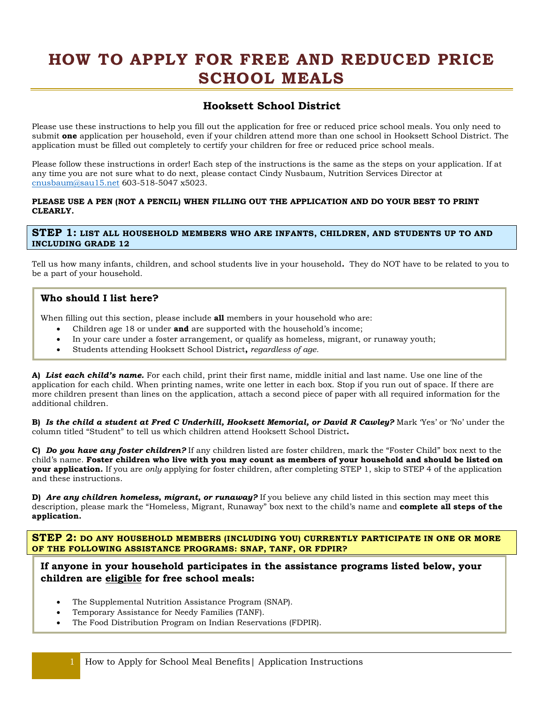# **HOW TO APPLY FOR FREE AND REDUCED PRICE SCHOOL MEALS**

# **Hooksett School District**

Please use these instructions to help you fill out the application for free or reduced price school meals. You only need to submit **one** application per household, even if your children attend more than one school in Hooksett School District. The application must be filled out completely to certify your children for free or reduced price school meals.

Please follow these instructions in order! Each step of the instructions is the same as the steps on your application. If at any time you are not sure what to do next, please contact Cindy Nusbaum, Nutrition Services Director at [cnusbaum@sau15.net](mailto:cnusbaum@sau15.net) 603-518-5047 x5023.

#### **PLEASE USE A PEN (NOT A PENCIL) WHEN FILLING OUT THE APPLICATION AND DO YOUR BEST TO PRINT CLEARLY.**

#### **STEP 1: LIST ALL HOUSEHOLD MEMBERS WHO ARE INFANTS, CHILDREN, AND STUDENTS UP TO AND INCLUDING GRADE 12**

 Tell us how many infants, children, and school students live in your household**.** They do NOT have to be related to you to be a part of your household.

## **Who should I list here?**

When filling out this section, please include **all** members in your household who are:

- Children age 18 or under **and** are supported with the household's income;
- In your care under a foster arrangement, or qualify as homeless, migrant, or runaway youth;
- Students attending Hooksett School District**,** *regardless of age.*

 **A)** *List each child's name.* For each child, print their first name, middle initial and last name. Use one line of the application for each child. When printing names, write one letter in each box. Stop if you run out of space. If there are more children present than lines on the application, attach a second piece of paper with all required information for the additional children.

 **B)** *Is the child a student at Fred C Underhill, Hooksett Memorial, or David R Cawley?* Mark 'Yes' or 'No' under the column titled "Student" to tell us which children attend Hooksett School District**.** 

 **C)** *Do you have any foster children?* If any children listed are foster children, mark the "Foster Child" box next to the  child's name. **Foster children who live with you may count as members of your household and should be listed on your application.** If you are *only* applying for foster children, after completing STEP 1, skip to STEP 4 of the application and these instructions.

 **D)** *Are any children homeless, migrant, or runaway?* If you believe any child listed in this section may meet this  description, please mark the "Homeless, Migrant, Runaway" box next to the child's name and **complete all steps of the application.** 

 **STEP 2: DO ANY HOUSEHOLD MEMBERS (INCLUDING YOU) CURRENTLY PARTICIPATE IN ONE OR MORE OF THE FOLLOWING ASSISTANCE PROGRAMS: SNAP, TANF, OR FDPIR?** 

## **If anyone in your household participates in the assistance programs listed below, your children are eligible for free school meals:**

- The Supplemental Nutrition Assistance Program (SNAP).
- Temporary Assistance for Needy Families (TANF).
- The Food Distribution Program on Indian Reservations (FDPIR).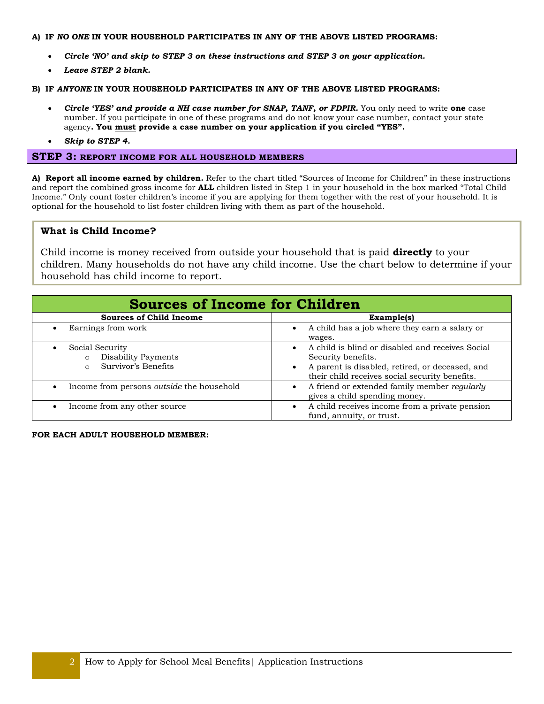#### **A) IF** *NO ONE* **IN YOUR HOUSEHOLD PARTICIPATES IN ANY OF THE ABOVE LISTED PROGRAMS:**

- *Circle 'NO' and skip to STEP 3 on these instructions and STEP 3 on your application.*
- *Leave STEP 2 blank.*

#### **B) IF** *ANYONE* **IN YOUR HOUSEHOLD PARTICIPATES IN ANY OF THE ABOVE LISTED PROGRAMS:**

- *Circle 'YES' and provide a NH case number for SNAP, TANF, or FDPIR.* You only need to write **one** case  agency**. You must provide a case number on your application if you circled "YES".** number. If you participate in one of these programs and do not know your case number, contact your state
- *Skip to STEP 4.*

### **STEP 3: REPORT INCOME FOR ALL HOUSEHOLD MEMBERS**

 **A) Report all income earned by children.** Refer to the chart titled "Sources of Income for Children" in these instructions and report the combined gross income for **ALL** children listed in Step 1 in your household in the box marked "Total Child Income." Only count foster children's income if you are applying for them together with the rest of your household. It is optional for the household to list foster children living with them as part of the household.

### **What is Child Income?**

 Child income is money received from outside your household that is paid **directly** to your children. Many households do not have any child income. Use the chart below to determine if your household has child income to report.

| <b>Sources of Income for Children</b>                                                             |                                                                                                                                                                                          |  |  |
|---------------------------------------------------------------------------------------------------|------------------------------------------------------------------------------------------------------------------------------------------------------------------------------------------|--|--|
| <b>Sources of Child Income</b>                                                                    | Example(s)                                                                                                                                                                               |  |  |
| Earnings from work                                                                                | A child has a job where they earn a salary or                                                                                                                                            |  |  |
| $\bullet$                                                                                         | wages.                                                                                                                                                                                   |  |  |
| Social Security<br>$\bullet$<br>Disability Payments<br>$\circ$<br>Survivor's Benefits<br>$\Omega$ | A child is blind or disabled and receives Social<br>$\bullet$<br>Security benefits.<br>A parent is disabled, retired, or deceased, and<br>their child receives social security benefits. |  |  |
| Income from persons outside the household                                                         | A friend or extended family member regularly                                                                                                                                             |  |  |
| $\bullet$                                                                                         | gives a child spending money.                                                                                                                                                            |  |  |
| Income from any other source                                                                      | A child receives income from a private pension                                                                                                                                           |  |  |
| $\bullet$                                                                                         | fund, annuity, or trust.                                                                                                                                                                 |  |  |

 **FOR EACH ADULT HOUSEHOLD MEMBER:**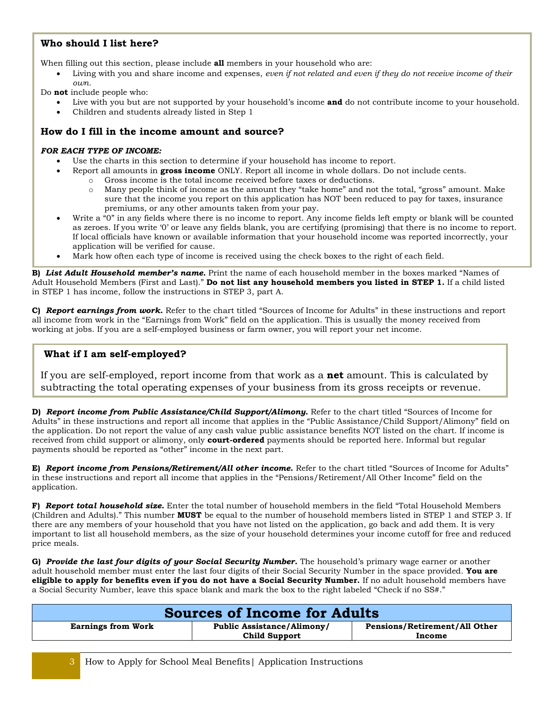# **Who should I list here?**

When filling out this section, please include **all** members in your household who are:

• Living with you and share income and expenses, *even if not related and even if they do not receive income of their own.* 

Do **not** include people who:

- Live with you but are not supported by your household's income **and** do not contribute income to your household.
- Children and students already listed in Step 1

## **How do I fill in the income amount and source?**

#### *FOR EACH TYPE OF INCOME:*

- Use the charts in this section to determine if your household has income to report.
	- Report all amounts in **gross income** ONLY. Report all income in whole dollars. Do not include cents.
		- o Gross income is the total income received before taxes or deductions.
		- o Many people think of income as the amount they "take home" and not the total, "gross" amount. Make sure that the income you report on this application has NOT been reduced to pay for taxes, insurance premiums, or any other amounts taken from your pay.
- Write a "0" in any fields where there is no income to report. Any income fields left empty or blank will be counted as zeroes. If you write '0' or leave any fields blank, you are certifying (promising) that there is no income to report. If local officials have known or available information that your household income was reported incorrectly, your application will be verified for cause.
- Mark how often each type of income is received using the check boxes to the right of each field.

 Adult Household Members (First and Last)." **Do not list any household members you listed in STEP 1.** If a child listed **B)** *List Adult Household member's name.* Print the name of each household member in the boxes marked "Names of in STEP 1 has income, follow the instructions in STEP 3, part A.

 all income from work in the "Earnings from Work" field on the application. This is usually the money received from **C)** *Report earnings from work.* Refer to the chart titled "Sources of Income for Adults" in these instructions and report working at jobs. If you are a self-employed business or farm owner, you will report your net income.

## **What if I am self-employed?**

 If you are self-employed, report income from that work as a **net** amount. This is calculated by subtracting the total operating expenses of your business from its gross receipts or revenue.

**D)** *Report income from Public Assistance/Child Support/Alimony.* Refer to the chart titled "Sources of Income for Adults" in these instructions and report all income that applies in the "Public Assistance/Child Support/Alimony" field on the application. Do not report the value of any cash value public assistance benefits NOT listed on the chart. If income is received from child support or alimony, only **court-ordered** payments should be reported here. Informal but regular payments should be reported as "other" income in the next part.

 **E)** *Report income from Pensions/Retirement/All other income.* Refer to the chart titled "Sources of Income for Adults" in these instructions and report all income that applies in the "Pensions/Retirement/All Other Income" field on the application.

 (Children and Adults)." This number **MUST** be equal to the number of household members listed in STEP 1 and STEP 3. If **F)** *Report total household size.* Enter the total number of household members in the field "Total Household Members there are any members of your household that you have not listed on the application, go back and add them. It is very important to list all household members, as the size of your household determines your income cutoff for free and reduced price meals.

 **G)** *Provide the last four digits of your Social Security Number.* The household's primary wage earner or another  adult household member must enter the last four digits of their Social Security Number in the space provided. **You are eligible to apply for benefits even if you do not have a Social Security Number.** If no adult household members have a Social Security Number, leave this space blank and mark the box to the right labeled "Check if no SS#."

| <b>Sources of Income for Adults</b> |                                   |                               |
|-------------------------------------|-----------------------------------|-------------------------------|
| <b>Earnings from Work</b>           | <b>Public Assistance/Alimony/</b> | Pensions/Retirement/All Other |
|                                     | <b>Child Support</b>              | Income                        |